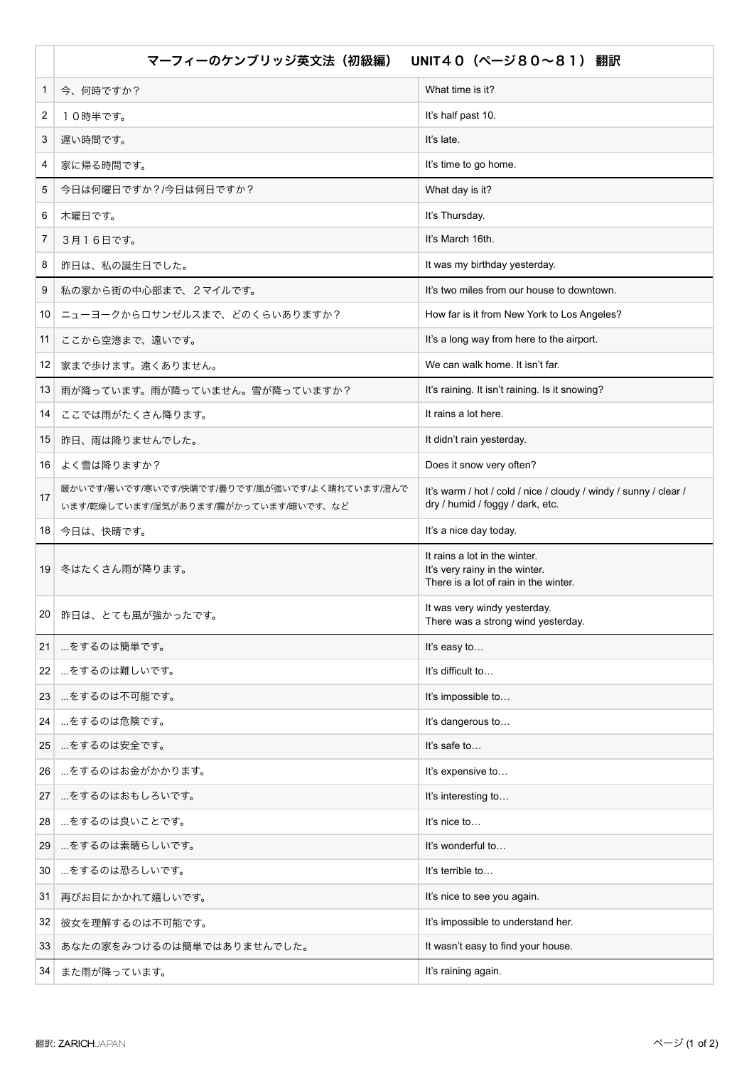|                 | マーフィーのケンブリッジ英文法 (初級編)                                                                 | UNIT40 (ページ80~81) 翻訳                                                                                     |
|-----------------|---------------------------------------------------------------------------------------|----------------------------------------------------------------------------------------------------------|
| 1               | 今、何時ですか?                                                                              | What time is it?                                                                                         |
| 2               | 10時半です。                                                                               | It's half past 10.                                                                                       |
| 3               | 遅い時間です。                                                                               | It's late.                                                                                               |
| 4               | 家に帰る時間です。                                                                             | It's time to go home.                                                                                    |
| 5               | 今日は何曜日ですか?/今日は何日ですか?                                                                  | What day is it?                                                                                          |
| 6               | 木曜日です。                                                                                | It's Thursday.                                                                                           |
| 7               | 3月16日です。                                                                              | It's March 16th.                                                                                         |
| 8               | 昨日は、私の誕生日でした。                                                                         | It was my birthday yesterday.                                                                            |
| 9               | 私の家から街の中心部まで、2マイルです。                                                                  | It's two miles from our house to downtown.                                                               |
| 10              | ニューヨークからロサンゼルスまで、どのくらいありますか?                                                          | How far is it from New York to Los Angeles?                                                              |
| 11              | ここから空港まで、遠いです。                                                                        | It's a long way from here to the airport.                                                                |
| 12              | 家まで歩けます。遠くありません。                                                                      | We can walk home. It isn't far.                                                                          |
| 13              | 雨が降っています。雨が降っていません。雪が降っていますか?                                                         | It's raining. It isn't raining. Is it snowing?                                                           |
| 14              | ここでは雨がたくさん降ります。                                                                       | It rains a lot here.                                                                                     |
| 15              | 昨日、雨は降りませんでした。                                                                        | It didn't rain yesterday.                                                                                |
| 16              | よく雪は降りますか?                                                                            | Does it snow very often?                                                                                 |
| 17              | 暖かいです/暑いです/寒いです/快晴です/曇りです/風が強いです/よく晴れています/澄んで<br>います/乾燥しています/湿気があります/霧がかっています/暗いです、など | It's warm / hot / cold / nice / cloudy / windy / sunny / clear /<br>dry / humid / foggy / dark, etc.     |
|                 | 18 今日は、快晴です。                                                                          | It's a nice day today.                                                                                   |
| 19 <sup>1</sup> | 冬はたくさん雨が降ります。                                                                         | It rains a lot in the winter.<br>It's very rainy in the winter.<br>There is a lot of rain in the winter. |
| 20 <sup>°</sup> | 昨日は、とても風が強かったです。                                                                      | It was very windy yesterday.<br>There was a strong wind yesterday.                                       |
| 21              | …をするのは簡単です。                                                                           | It's easy to                                                                                             |
| 22              | …をするのは難しいです。                                                                          | It's difficult to                                                                                        |
| 23              | …をするのは不可能です。                                                                          | It's impossible to                                                                                       |
| 24              | …をするのは危険です。                                                                           | It's dangerous to                                                                                        |
| 25              | …をするのは安全です。                                                                           | It's safe to                                                                                             |
| 26              | …をするのはお金がかかります。                                                                       | It's expensive to                                                                                        |
| 27              | …をするのはおもしろいです。                                                                        | It's interesting to                                                                                      |
| 28              | …をするのは良いことです。                                                                         | It's nice to                                                                                             |
| 29              | …をするのは素晴らしいです。                                                                        | It's wonderful to                                                                                        |
| 30              | …をするのは恐ろしいです。                                                                         | It's terrible to                                                                                         |
| 31              | 再びお目にかかれて嬉しいです。                                                                       | It's nice to see you again.                                                                              |
| 32              | 彼女を理解するのは不可能です。                                                                       | It's impossible to understand her.                                                                       |
| 33              | あなたの家をみつけるのは簡単ではありませんでした。                                                             | It wasn't easy to find your house.                                                                       |
| 34              | また雨が降っています。                                                                           | It's raining again.                                                                                      |